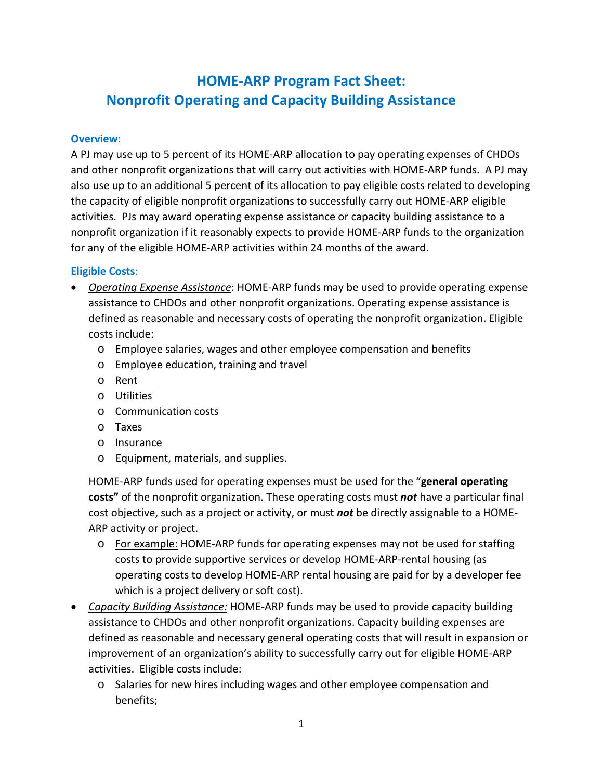# **Nonprofit Operating and Capacity Building Assistance HOME-ARP Program Fact Sheet:**

#### **Overview**:

 A PJ may use up to 5 percent of its HOME-ARP allocation to pay operating expenses of CHDOs and other nonprofit organizations that will carry out activities with HOME-ARP funds. A PJ may also use up to an additional 5 percent of its allocation to pay eligible costs related to developing the capacity of eligible nonprofit organizations to successfully carry out HOME-ARP eligible activities. PJs may award operating expense assistance or capacity building assistance to a nonprofit organization if it reasonably expects to provide HOME-ARP funds to the organization for any of the eligible HOME-ARP activities within 24 months of the award.

#### **Eligible Costs**:

- *Operating Expense Assistance*: HOME-ARP funds may be used to provide operating expense assistance to CHDOs and other nonprofit organizations. Operating expense assistance is defined as reasonable and necessary costs of operating the nonprofit organization. Eligible costs include:
	- o Employee salaries, wages and other employee compensation and benefits
	- o Employee education, training and travel
	- o Rent
	- o Utilities
	- o Communication costs
	- o Taxes
	- o Insurance
	- o Equipment, materials, and supplies.

 HOME-ARP funds used for operating expenses must be used for the "**general operating costs"** of the nonprofit organization. These operating costs must *not* have a particular final cost objective, such as a project or activity, or must *not* be directly assignable to a HOME-ARP activity or project.

- o For example: HOME-ARP funds for operating expenses may not be used for staffing costs to provide supportive services or develop HOME-ARP-rental housing (as operating costs to develop HOME-ARP rental housing are paid for by a developer fee which is a project delivery or soft cost).
- *Capacity Building Assistance:* HOME-ARP funds may be used to provide capacity building assistance to CHDOs and other nonprofit organizations. Capacity building expenses are defined as reasonable and necessary general operating costs that will result in expansion or improvement of an organization's ability to successfully carry out for eligible HOME-ARP activities. Eligible costs include:
	- o Salaries for new hires including wages and other employee compensation and benefits;